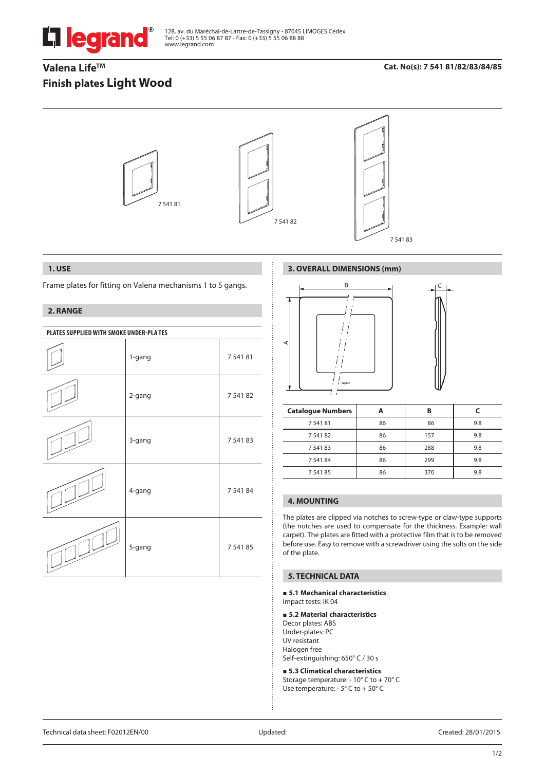

128, av. du Maréchal-de-Lattre-de-Tassigny - 87045 LIMOGES Cedex Tel: 0 (+33) 5 55 06 87 87 - Fax: 0 (+33) 5 55 06 88 88 www.legrand.com

# Valena Life<sup>™</sup> **Finish plates Light Wood**

## **Cat. No(s): 7 541 81/82/83/84/85**



## **1. USE**

Frame plates for fitting on Valena mechanisms 1 to 5 gangs.

## **2. RANGE**

| PLATES SUPPLIED WITH SMOKE UNDER-PLATES |        |             |  |
|-----------------------------------------|--------|-------------|--|
|                                         | 1-gang | 7 5 4 1 8 1 |  |
|                                         | 2-gang | 7 541 82    |  |
|                                         | 3-gang | 7 541 83    |  |
|                                         | 4-gang | 7 541 84    |  |
|                                         | 5-gang | 7 541 85    |  |

## **3. OVERALL DIMENSIONS (mm)**



| <b>Catalogue Numbers</b> |    | в   |     |
|--------------------------|----|-----|-----|
| 7 541 81                 | 86 | 86  | 9.8 |
| 7 541 82                 | 86 | 157 | 9.8 |
| 7 541 83                 | 86 | 288 | 9.8 |
| 7 541 84                 | 86 | 299 | 9.8 |
| 7 541 85                 | 86 | 370 | 9.8 |

## **4. MOUNTING**

The plates are clipped via notches to screw-type or claw-type supports (the notches are used to compensate for the thickness. Example: wall carpet). The plates are fitted with a protective film that is to be removed before use. Easy to remove with a screwdriver using the solts on the side of the plate.

## **5. TECHNICAL DATA**

#### **5.1 Mechanical characteristics** Impact tests: IK 04

### **5.2 Material characteristics**

Decor plates: ABS Under-plates: PC UV resistant Halogen free Self-extinguishing: 650° C / 30 s

 **5.3 Climatical characteristics** Storage temperature: - 10° C to + 70° C Use temperature: - 5° C to + 50° C

Technical data sheet: F02012EN/00 Updated: Created: 28/01/2015